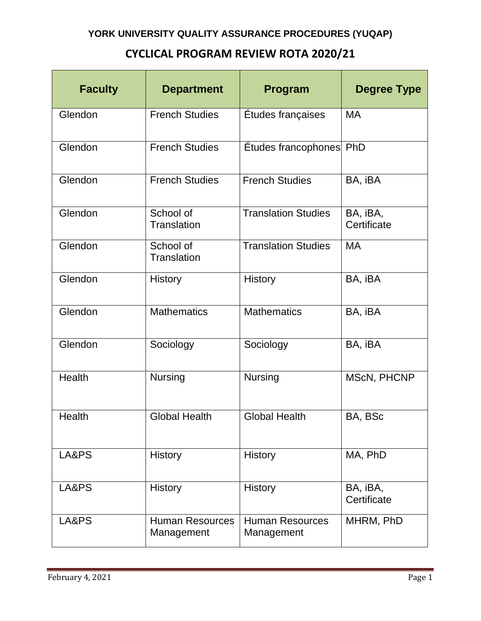## **CYCLICAL PROGRAM REVIEW ROTA 2020/21**

| <b>Faculty</b> | <b>Department</b>                    | Program                              | <b>Degree Type</b>      |
|----------------|--------------------------------------|--------------------------------------|-------------------------|
| Glendon        | <b>French Studies</b>                | Études françaises                    | <b>MA</b>               |
| Glendon        | <b>French Studies</b>                | Etudes francophones PhD              |                         |
| Glendon        | <b>French Studies</b>                | <b>French Studies</b>                | BA, iBA                 |
| Glendon        | School of<br>Translation             | <b>Translation Studies</b>           | BA, iBA,<br>Certificate |
| Glendon        | School of<br>Translation             | <b>Translation Studies</b>           | <b>MA</b>               |
| Glendon        | <b>History</b>                       | <b>History</b>                       | BA, iBA                 |
| Glendon        | <b>Mathematics</b>                   | <b>Mathematics</b>                   | BA, iBA                 |
| Glendon        | Sociology                            | Sociology                            | BA, iBA                 |
| Health         | <b>Nursing</b>                       | <b>Nursing</b>                       | MScN, PHCNP             |
| Health         | <b>Global Health</b>                 | <b>Global Health</b>                 | BA, BSc                 |
| LA&PS          | <b>History</b>                       | <b>History</b>                       | MA, PhD                 |
| LA&PS          | <b>History</b>                       | <b>History</b>                       | BA, iBA,<br>Certificate |
| LA&PS          | <b>Human Resources</b><br>Management | <b>Human Resources</b><br>Management | MHRM, PhD               |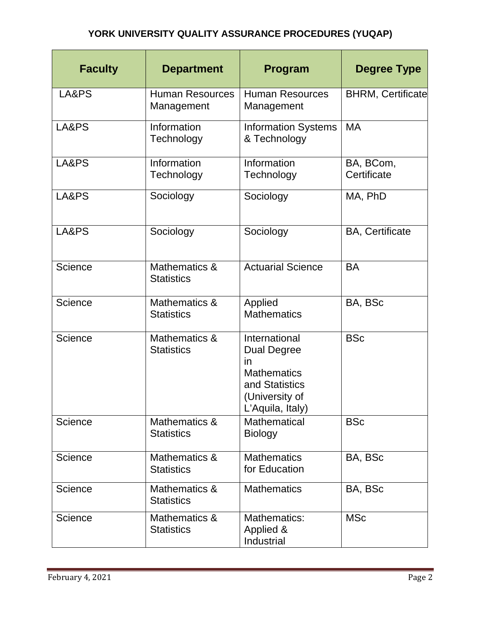## **YORK UNIVERSITY QUALITY ASSURANCE PROCEDURES (YUQAP)**

| <b>Faculty</b> | <b>Department</b>                    | Program                                                                                                                 | <b>Degree Type</b>       |
|----------------|--------------------------------------|-------------------------------------------------------------------------------------------------------------------------|--------------------------|
| LA&PS          | <b>Human Resources</b><br>Management | <b>Human Resources</b><br>Management                                                                                    | <b>BHRM, Certificate</b> |
| LA&PS          | Information<br>Technology            | <b>Information Systems</b><br>& Technology                                                                              | <b>MA</b>                |
| LA&PS          | Information<br>Technology            | Information<br>Technology                                                                                               | BA, BCom,<br>Certificate |
| LA&PS          | Sociology                            | Sociology                                                                                                               | MA, PhD                  |
| LA&PS          | Sociology                            | Sociology                                                                                                               | <b>BA, Certificate</b>   |
| Science        | Mathematics &<br><b>Statistics</b>   | <b>Actuarial Science</b>                                                                                                | <b>BA</b>                |
| Science        | Mathematics &<br><b>Statistics</b>   | Applied<br><b>Mathematics</b>                                                                                           | BA, BSc                  |
| Science        | Mathematics &<br><b>Statistics</b>   | International<br><b>Dual Degree</b><br>in<br><b>Mathematics</b><br>and Statistics<br>(University of<br>L'Aquila, Italy) | <b>BSc</b>               |
| <b>Science</b> | Mathematics &<br><b>Statistics</b>   | <b>Mathematical</b><br><b>Biology</b>                                                                                   | <b>BSc</b>               |
| Science        | Mathematics &<br><b>Statistics</b>   | <b>Mathematics</b><br>for Education                                                                                     | BA, BSc                  |
| <b>Science</b> | Mathematics &<br><b>Statistics</b>   | <b>Mathematics</b>                                                                                                      | BA, BSc                  |
| Science        | Mathematics &<br><b>Statistics</b>   | Mathematics:<br>Applied &<br>Industrial                                                                                 | <b>MSc</b>               |